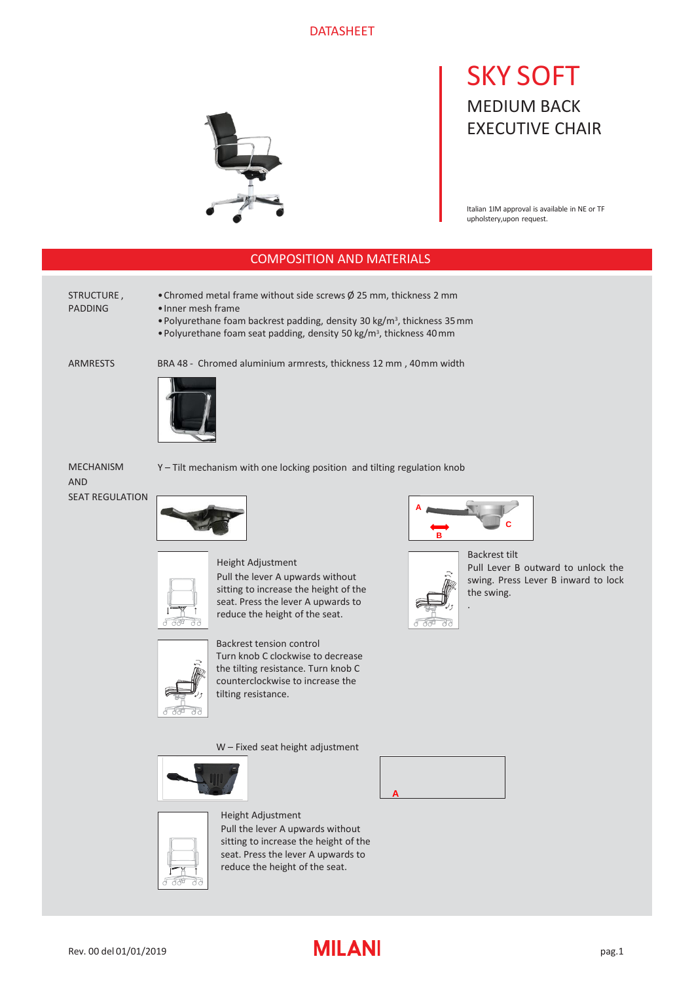### DATASHEET



# SKY SOFT MEDIUM BACK EXECUTIVE CHAIR

Italian 1IM approval is available in NE or TF upholstery,upon request.

### COMPOSITION AND MATERIALS

#### STRUCTURE , PADDING

•Chromed metal frame without side screws Ø 25 mm, thickness 2 mm

- •Inner mesh frame
	- Polyurethane foam backrest padding, density 30 kg/m<sup>3</sup>, thickness 35 mm
	- Polyurethane foam seat padding, density 50 kg/m<sup>3</sup>, thickness 40 mm

ARMRESTS

BRA 48 - Chromed aluminium armrests, thickness 12 mm , 40mm width



MECHANISM AND SEAT REGULATION







Pull the lever A upwards without sitting to increase the height of the seat. Press the lever A upwards to reduce the height of the seat.



Backrest tension control Turn knob C clockwise to decrease the tilting resistance. Turn knob C counterclockwise to increase the tilting resistance.

W – Fixed seat height adjustment



# Height Adjustment

Pull the lever A upwards without sitting to increase the height of the seat. Press the lever A upwards to reduce the height of the seat.



.



Backrest tilt Pull Lever B outward to unlock the swing. Press Lever B inward to lock the swing.



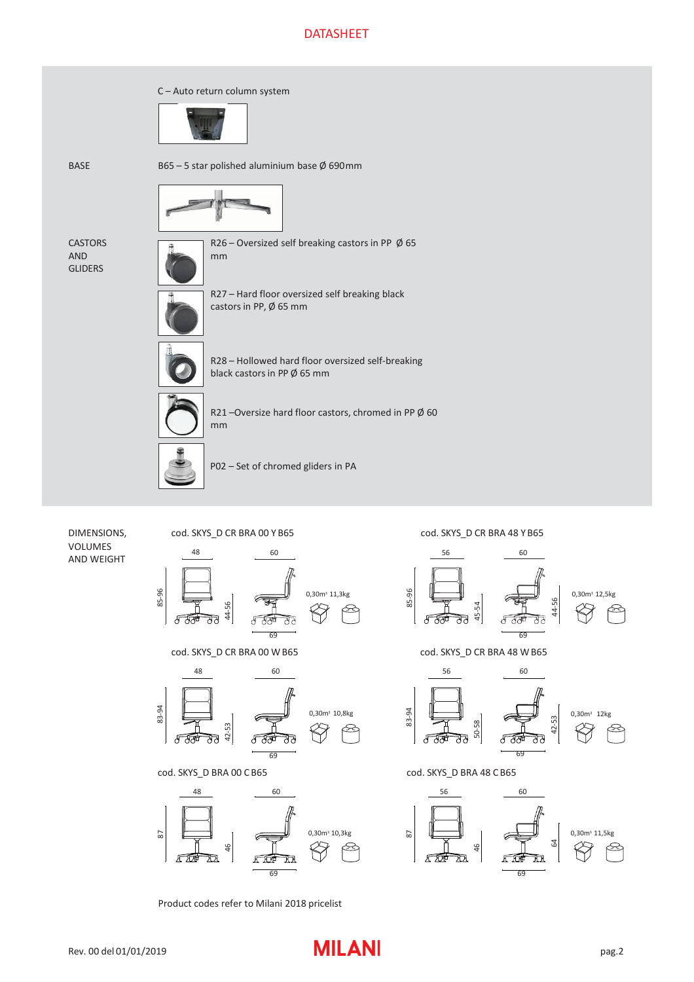## DATASHEET









cod. SKYS\_D BRA 00 C B65



Product codes refer to Milani 2018 pricelist

cod. SKYS\_D CR BRA 48 Y B65



cod. SKYS\_D CR BRA 48 W B65



cod. SKYS\_D BRA 48 CB65

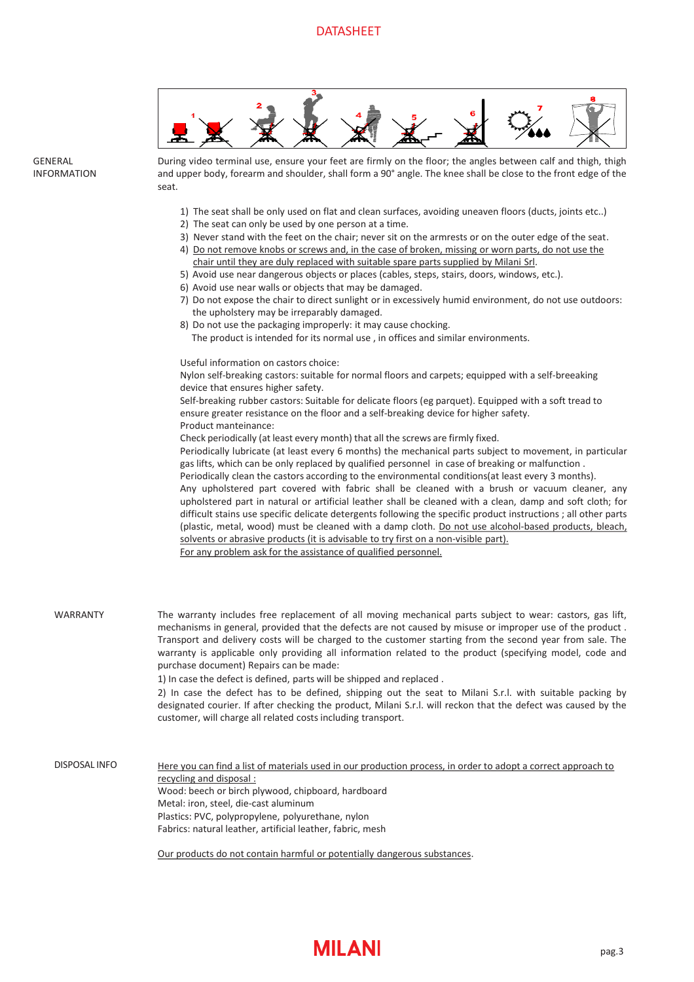

During video terminal use, ensure your feet are firmly on the floor; the angles between calf and thigh, thigh and upper body, forearm and shoulder, shall form a 90° angle. The knee shall be close to the front edge of the seat.

- 1) The seat shall be only used on flat and clean surfaces, avoiding uneaven floors (ducts, joints etc..)
- 2) The seat can only be used by one person at a time.
- 3) Never stand with the feet on the chair; never sit on the armrests or on the outer edge of the seat.
- 4) Do not remove knobs or screws and, in the case of broken, missing or worn parts, do not use the chair until they are duly replaced with suitable spare parts supplied by Milani Srl.
- 5) Avoid use near dangerous objects or places (cables, steps, stairs, doors, windows, etc.).
- 6) Avoid use near walls or objects that may be damaged.
- 7) Do not expose the chair to direct sunlight or in excessively humid environment, do not use outdoors: the upholstery may be irreparably damaged.
- 8) Do not use the packaging improperly: it may cause chocking. The product is intended for its normal use , in offices and similar environments.

Useful information on castors choice:

**GENERAL** INFORMATION

> Nylon self-breaking castors: suitable for normal floors and carpets; equipped with a self-breeaking device that ensures higher safety.

Self-breaking rubber castors: Suitable for delicate floors (eg parquet). Equipped with a soft tread to ensure greater resistance on the floor and a self-breaking device for higher safety. Product manteinance:

Check periodically (at least every month) that all the screws are firmly fixed.

Periodically lubricate (at least every 6 months) the mechanical parts subject to movement, in particular gas lifts, which can be only replaced by qualified personnel in case of breaking or malfunction .

Periodically clean the castors according to the environmental conditions(at least every 3 months).

Any upholstered part covered with fabric shall be cleaned with a brush or vacuum cleaner, any upholstered part in natural or artificial leather shall be cleaned with a clean, damp and soft cloth; for difficult stains use specific delicate detergents following the specific product instructions ; all other parts (plastic, metal, wood) must be cleaned with a damp cloth. Do not use alcohol-based products, bleach, solvents or abrasive products (it is advisable to try first on a non-visible part). For any problem ask for the assistance of qualified personnel.

The warranty includes free replacement of all moving mechanical parts subject to wear: castors, gas lift, mechanisms in general, provided that the defects are not caused by misuse or improper use of the product . Transport and delivery costs will be charged to the customer starting from the second year from sale. The warranty is applicable only providing all information related to the product (specifying model, code and purchase document) Repairs can be made: 1) In case the defect is defined, parts will be shipped and replaced . WARRANTY

> 2) In case the defect has to be defined, shipping out the seat to Milani S.r.l. with suitable packing by designated courier. If after checking the product, Milani S.r.l. will reckon that the defect was caused by the customer, will charge all related costs including transport.

Here you can find a list of materials used in our production process, in order to adopt a correct approach to recycling and disposal : Wood: beech or birch plywood, chipboard, hardboard Metal: iron, steel, die-cast aluminum Plastics: PVC, polypropylene, polyurethane, nylon Fabrics: natural leather, artificial leather, fabric, mesh DISPOSAL INFO

Our products do not contain harmful or potentially dangerous substances.